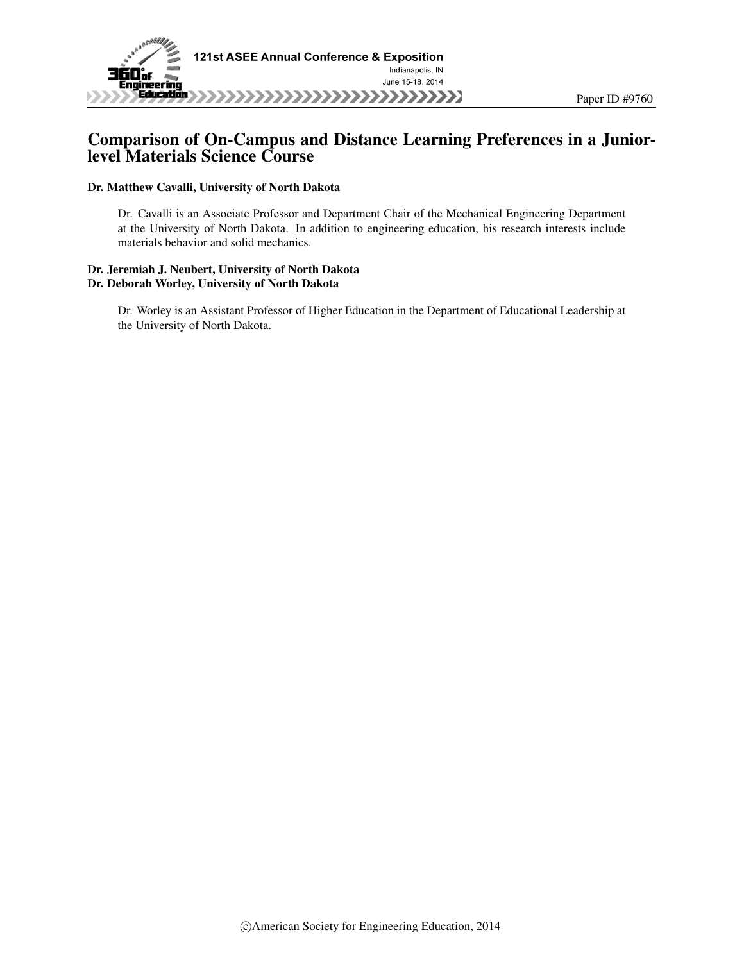

## Comparison of On-Campus and Distance Learning Preferences in a Juniorlevel Materials Science Course

#### Dr. Matthew Cavalli, University of North Dakota

Dr. Cavalli is an Associate Professor and Department Chair of the Mechanical Engineering Department at the University of North Dakota. In addition to engineering education, his research interests include materials behavior and solid mechanics.

#### Dr. Jeremiah J. Neubert, University of North Dakota Dr. Deborah Worley, University of North Dakota

Dr. Worley is an Assistant Professor of Higher Education in the Department of Educational Leadership at the University of North Dakota.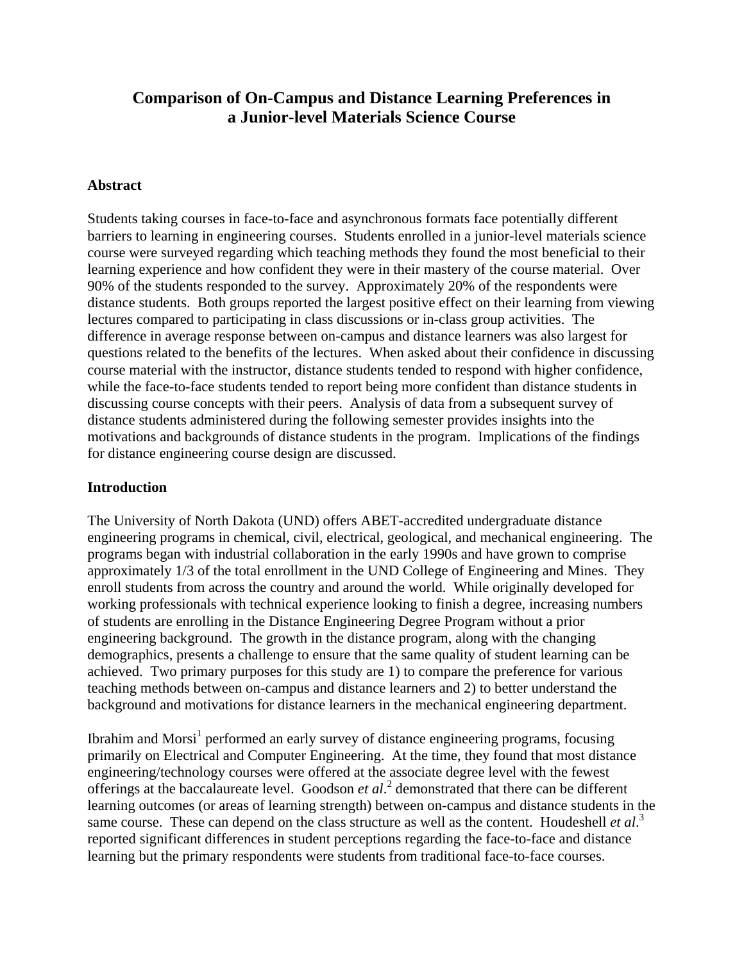# **Comparison of On-Campus and Distance Learning Preferences in a Junior-level Materials Science Course**

### **Abstract**

Students taking courses in face-to-face and asynchronous formats face potentially different barriers to learning in engineering courses. Students enrolled in a junior-level materials science course were surveyed regarding which teaching methods they found the most beneficial to their learning experience and how confident they were in their mastery of the course material. Over 90% of the students responded to the survey. Approximately 20% of the respondents were distance students. Both groups reported the largest positive effect on their learning from viewing lectures compared to participating in class discussions or in-class group activities. The difference in average response between on-campus and distance learners was also largest for questions related to the benefits of the lectures. When asked about their confidence in discussing course material with the instructor, distance students tended to respond with higher confidence, while the face-to-face students tended to report being more confident than distance students in discussing course concepts with their peers. Analysis of data from a subsequent survey of distance students administered during the following semester provides insights into the motivations and backgrounds of distance students in the program. Implications of the findings for distance engineering course design are discussed.

### **Introduction**

The University of North Dakota (UND) offers ABET-accredited undergraduate distance engineering programs in chemical, civil, electrical, geological, and mechanical engineering. The programs began with industrial collaboration in the early 1990s and have grown to comprise approximately 1/3 of the total enrollment in the UND College of Engineering and Mines. They enroll students from across the country and around the world. While originally developed for working professionals with technical experience looking to finish a degree, increasing numbers of students are enrolling in the Distance Engineering Degree Program without a prior engineering background. The growth in the distance program, along with the changing demographics, presents a challenge to ensure that the same quality of student learning can be achieved. Two primary purposes for this study are 1) to compare the preference for various teaching methods between on-campus and distance learners and 2) to better understand the background and motivations for distance learners in the mechanical engineering department.

Ibrahim and Morsi<sup>1</sup> performed an early survey of distance engineering programs, focusing primarily on Electrical and Computer Engineering. At the time, they found that most distance engineering/technology courses were offered at the associate degree level with the fewest offerings at the baccalaureate level. Goodson et al.<sup>2</sup> demonstrated that there can be different learning outcomes (or areas of learning strength) between on-campus and distance students in the same course. These can depend on the class structure as well as the content. Houdeshell *et al.*<sup>3</sup> reported significant differences in student perceptions regarding the face-to-face and distance learning but the primary respondents were students from traditional face-to-face courses.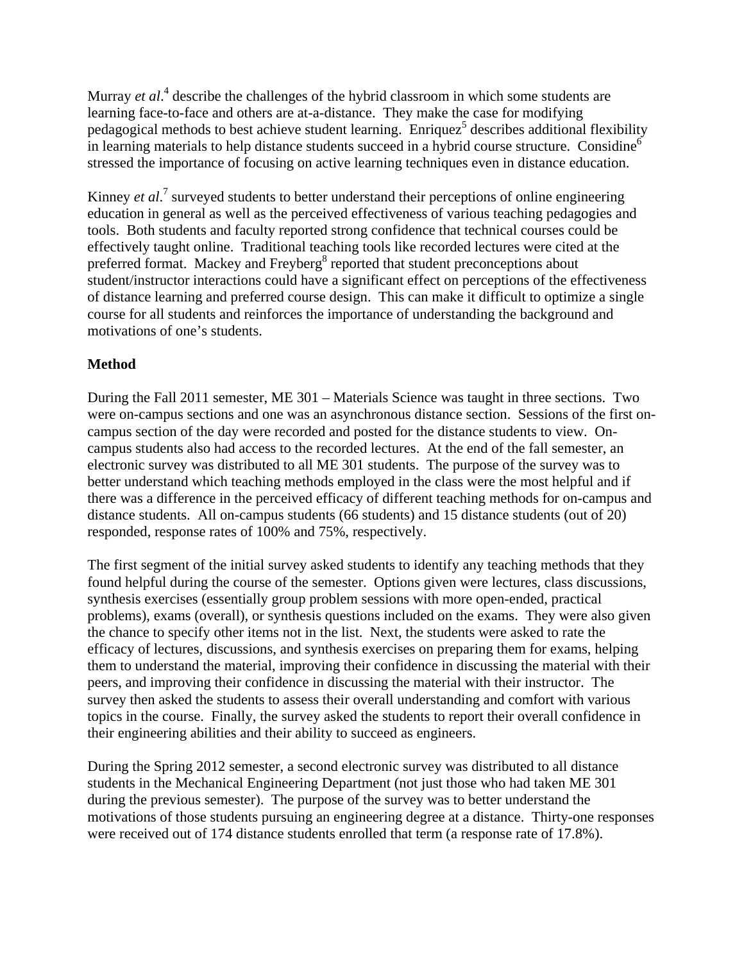Murray *et al*.<sup>4</sup> describe the challenges of the hybrid classroom in which some students are learning face-to-face and others are at-a-distance. They make the case for modifying pedagogical methods to best achieve student learning. Enriquez<sup>5</sup> describes additional flexibility in learning materials to help distance students succeed in a hybrid course structure. Considine<sup>6</sup> stressed the importance of focusing on active learning techniques even in distance education.

Kinney *et al.*<sup>7</sup> surveyed students to better understand their perceptions of online engineering education in general as well as the perceived effectiveness of various teaching pedagogies and tools. Both students and faculty reported strong confidence that technical courses could be effectively taught online. Traditional teaching tools like recorded lectures were cited at the preferred format. Mackey and Freyberg<sup>8</sup> reported that student preconceptions about student/instructor interactions could have a significant effect on perceptions of the effectiveness of distance learning and preferred course design. This can make it difficult to optimize a single course for all students and reinforces the importance of understanding the background and motivations of one's students.

## **Method**

During the Fall 2011 semester, ME 301 – Materials Science was taught in three sections. Two were on-campus sections and one was an asynchronous distance section. Sessions of the first oncampus section of the day were recorded and posted for the distance students to view. Oncampus students also had access to the recorded lectures. At the end of the fall semester, an electronic survey was distributed to all ME 301 students. The purpose of the survey was to better understand which teaching methods employed in the class were the most helpful and if there was a difference in the perceived efficacy of different teaching methods for on-campus and distance students. All on-campus students (66 students) and 15 distance students (out of 20) responded, response rates of 100% and 75%, respectively.

The first segment of the initial survey asked students to identify any teaching methods that they found helpful during the course of the semester. Options given were lectures, class discussions, synthesis exercises (essentially group problem sessions with more open-ended, practical problems), exams (overall), or synthesis questions included on the exams. They were also given the chance to specify other items not in the list. Next, the students were asked to rate the efficacy of lectures, discussions, and synthesis exercises on preparing them for exams, helping them to understand the material, improving their confidence in discussing the material with their peers, and improving their confidence in discussing the material with their instructor. The survey then asked the students to assess their overall understanding and comfort with various topics in the course. Finally, the survey asked the students to report their overall confidence in their engineering abilities and their ability to succeed as engineers.

During the Spring 2012 semester, a second electronic survey was distributed to all distance students in the Mechanical Engineering Department (not just those who had taken ME 301 during the previous semester). The purpose of the survey was to better understand the motivations of those students pursuing an engineering degree at a distance. Thirty-one responses were received out of 174 distance students enrolled that term (a response rate of 17.8%).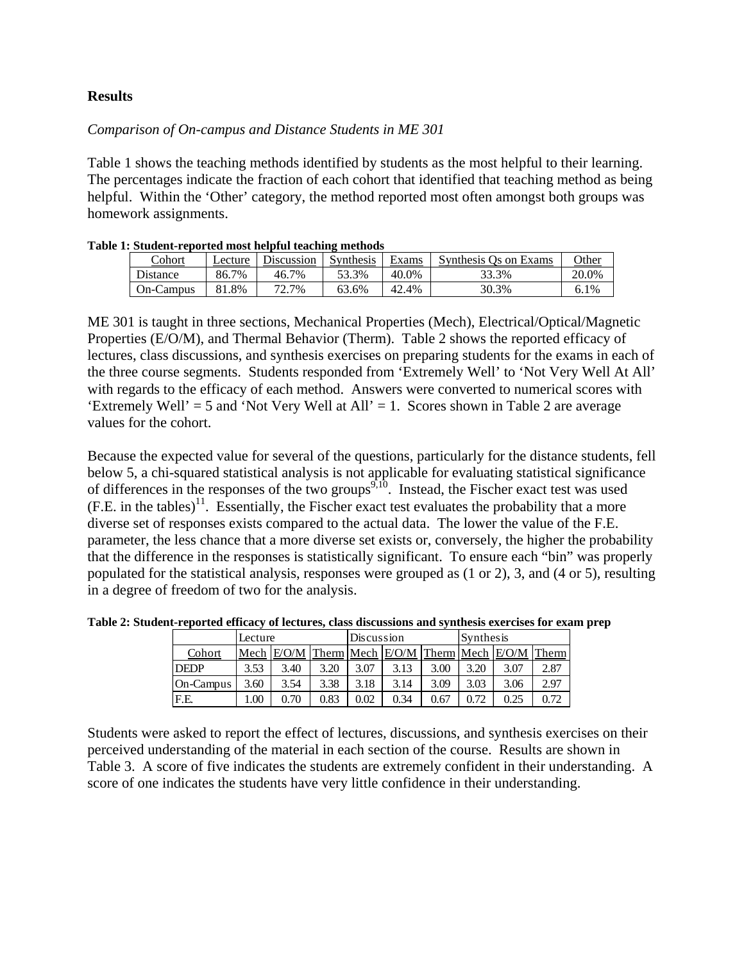## **Results**

## *Comparison of On-campus and Distance Students in ME 301*

Table 1 shows the teaching methods identified by students as the most helpful to their learning. The percentages indicate the fraction of each cohort that identified that teaching method as being helpful. Within the 'Other' category, the method reported most often amongst both groups was homework assignments.

| 1. энцисис-герогиси тиоэг неприн насиниг тисиндэ |         |            |           |       |                       |         |  |
|--------------------------------------------------|---------|------------|-----------|-------|-----------------------|---------|--|
| <b>Cohort</b>                                    | Lecture | Discussion | Synthesis | Exams | Synthesis Os on Exams | Other   |  |
| <b>Distance</b>                                  | 86.7%   | 46.7%      | 53.3%     | 40.0% | 33.3%                 | 20.0%   |  |
| On-Campus                                        | 81.8%   | 72.7%      | 63.6%     | 42.4% | 30.3%                 | $6.1\%$ |  |

|  |  | Table 1: Student-reported most helpful teaching methods |
|--|--|---------------------------------------------------------|
|  |  |                                                         |

ME 301 is taught in three sections, Mechanical Properties (Mech), Electrical/Optical/Magnetic Properties (E/O/M), and Thermal Behavior (Therm). Table 2 shows the reported efficacy of lectures, class discussions, and synthesis exercises on preparing students for the exams in each of the three course segments. Students responded from 'Extremely Well' to 'Not Very Well At All' with regards to the efficacy of each method. Answers were converted to numerical scores with 'Extremely Well'  $=$  5 and 'Not Very Well at All'  $=$  1. Scores shown in Table 2 are average values for the cohort.

Because the expected value for several of the questions, particularly for the distance students, fell below 5, a chi-squared statistical analysis is not applicable for evaluating statistical significance of differences in the responses of the two groups<sup>9,10</sup>. Instead, the Fischer exact test was used  $(F.E. in the tables)<sup>11</sup>$ . Essentially, the Fischer exact test evaluates the probability that a more diverse set of responses exists compared to the actual data. The lower the value of the F.E. parameter, the less chance that a more diverse set exists or, conversely, the higher the probability that the difference in the responses is statistically significant. To ensure each "bin" was properly populated for the statistical analysis, responses were grouped as (1 or 2), 3, and (4 or 5), resulting in a degree of freedom of two for the analysis.

|             | Lecture |              |      | Discussion |      |      | Synthesis |                                         |      |
|-------------|---------|--------------|------|------------|------|------|-----------|-----------------------------------------|------|
| Cohort      |         | Mech $E/O/M$ |      |            |      |      |           | Therm Mech E/O/M Therm Mech E/O/M Therm |      |
| <b>DEDP</b> | 3.53    | 3.40         | 3.20 | 3.07       | 3.13 | 3.00 | 3.20      | 3.07                                    | 2.87 |
| On-Campus   | 3.60    | 3.54         | 3.38 | 3.18       | 3.14 | 3.09 | 3.03      | 3.06                                    | 2.97 |
| F.E.        | .00     | 0.70         | 0.83 | $0.02\,$   | 0.34 | 0.67 | ∩ 7ገ      |                                         | 0.72 |

**Table 2: Student-reported efficacy of lectures, class discussions and synthesis exercises for exam prep** 

Students were asked to report the effect of lectures, discussions, and synthesis exercises on their perceived understanding of the material in each section of the course. Results are shown in Table 3. A score of five indicates the students are extremely confident in their understanding. A score of one indicates the students have very little confidence in their understanding.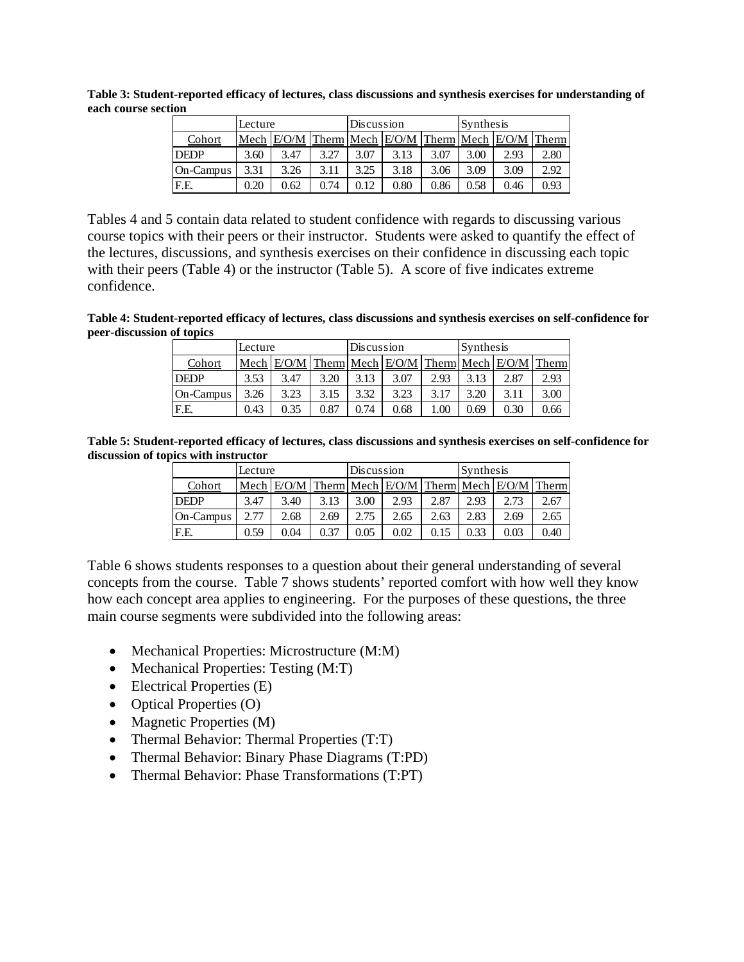**Table 3: Student-reported efficacy of lectures, class discussions and synthesis exercises for understanding of each course section** 

|             | Lecture |      |      | Discussion |                             |      | Synthesis |               |      |  |
|-------------|---------|------|------|------------|-----------------------------|------|-----------|---------------|------|--|
| Cohort      | Mech    |      |      |            | Therm Mech E/O/M Therm Mech |      |           | $E/O/M$ Therm |      |  |
| <b>DEDP</b> | 3.60    | 3.47 | 3.27 | 3.07       | 3.13                        | 3.07 | 3.00      | 2.93          | 2.80 |  |
| On-Campus   | 3.31    | 3.26 | 3.11 | 3.25       | 3.18                        | 3.06 | 3.09      | 3.09          | 2.92 |  |
| F.E.        | 0.20    | 0.62 | 0.74 | 0.12       | $0.80\,$                    | 0.86 | 0.58      | 0.46          | 0.93 |  |

Tables 4 and 5 contain data related to student confidence with regards to discussing various course topics with their peers or their instructor. Students were asked to quantify the effect of the lectures, discussions, and synthesis exercises on their confidence in discussing each topic with their peers (Table 4) or the instructor (Table 5). A score of five indicates extreme confidence.

**Table 4: Student-reported efficacy of lectures, class discussions and synthesis exercises on self-confidence for peer-discussion of topics** 

|             | Lecture |            |      | Discussion |                  |      | Synthesis |                                            |      |
|-------------|---------|------------|------|------------|------------------|------|-----------|--------------------------------------------|------|
| Cohort      |         | Mech $EOM$ |      |            | Therm Mech $EOM$ |      |           | $\Gamma$ Therm Mech $E$ O/M $\Gamma$ Therm |      |
| <b>DEDP</b> | 3.53    | 3.47       | 3.20 | 3.13       | 3.07             | 2.93 | 3.13      | 2.87                                       | 2.93 |
| On-Campus   | 3.26    | 3.23       | 3.15 | 3.32       | 3.23             | 3.17 | 3.20      | 3.11                                       | 3.00 |
| F.E.        | 0.43    | 0.35       | 0.87 | 0.74       | 0.68             | 1.00 | 0.69      | 0.30                                       | 0.66 |

**Table 5: Student-reported efficacy of lectures, class discussions and synthesis exercises on self-confidence for discussion of topics with instructor** 

|             | Lecture |      |      | Discussion |      |      |      | Synthesis                                                        |      |  |
|-------------|---------|------|------|------------|------|------|------|------------------------------------------------------------------|------|--|
| Cohort      |         |      |      |            |      |      |      | Mech E/O/M   Therm   Mech   E/O/M   Therm   Mech   E/O/M   Therm |      |  |
| <b>DEDP</b> | 3.47    | 3.40 | 3.13 | 3.00       | 2.93 | 2.87 | 2.93 | 2.73                                                             | 2.67 |  |
| On-Campus   |         | 2.68 | 2.69 | 2.75       | 2.65 | 2.63 | 2.83 | 2.69                                                             | 2.65 |  |
| F.E.        | 0.59    | 0.04 | 0.37 | 0.05       | 0.02 |      | 0.33 | $0.03\,$                                                         | 0.40 |  |

Table 6 shows students responses to a question about their general understanding of several concepts from the course. Table 7 shows students' reported comfort with how well they know how each concept area applies to engineering. For the purposes of these questions, the three main course segments were subdivided into the following areas:

- Mechanical Properties: Microstructure (M:M)
- $\bullet$  Mechanical Properties: Testing  $(M:T)$
- Electrical Properties (E)
- Optical Properties (O)
- Magnetic Properties (M)
- Thermal Behavior: Thermal Properties (T:T)
- Thermal Behavior: Binary Phase Diagrams (T:PD)
- Thermal Behavior: Phase Transformations (T:PT)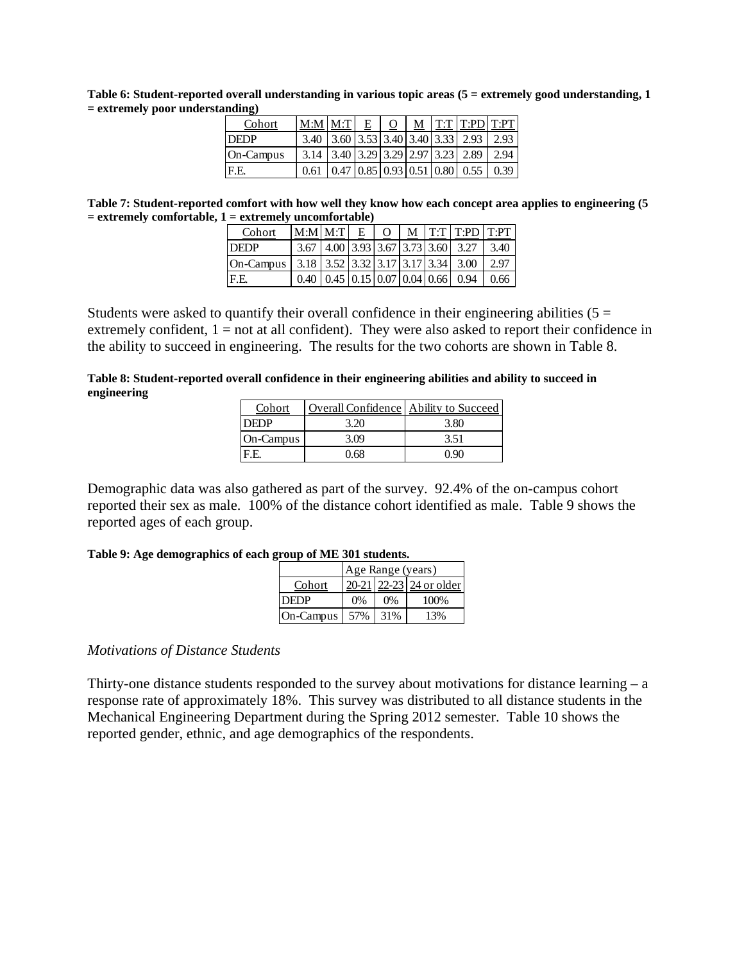**Table 6: Student-reported overall understanding in various topic areas (5 = extremely good understanding, 1 = extremely poor understanding)** 

| Cohort      | $\left \underline{\text{M:M}}\right \underline{\text{M:T}}$ $E$ $\left $ <u>O</u> $\right \underline{\text{M}}$ $\left $ T:T T:PD T:PT |  |  |                                                                                                                                                 |  |
|-------------|----------------------------------------------------------------------------------------------------------------------------------------|--|--|-------------------------------------------------------------------------------------------------------------------------------------------------|--|
| <b>DEDP</b> |                                                                                                                                        |  |  | 3.40 3.60 3.53 3.40 3.40 3.33 2.93 2.93                                                                                                         |  |
| On-Campus   | $\vert$ 3.14 $\vert$ 3.40 $\vert$ 3.29 $\vert$ 3.29 $\vert$ 2.97 $\vert$ 3.23 $\vert$ 2.89 $\vert$ 2.94                                |  |  |                                                                                                                                                 |  |
| F.E.        |                                                                                                                                        |  |  | $\overline{0.61}$ $\overline{0.47}$ $\overline{0.85}$ $\overline{0.93}$ $\overline{0.51}$ $\overline{0.80}$ $\overline{0.55}$ $\overline{0.39}$ |  |

**Table 7: Student-reported comfort with how well they know how each concept area applies to engineering (5 = extremely comfortable, 1 = extremely uncomfortable)** 

| Cohort       | $M:M$ $M:T$                                                        | $E_{\parallel}$ | O |  | $M$   T:T   T:PD   T:PT                        |        |
|--------------|--------------------------------------------------------------------|-----------------|---|--|------------------------------------------------|--------|
| <b>IDEDP</b> |                                                                    |                 |   |  | 3.67   4.00   3.93   3.67   3.73   3.60   3.27 | 1,3.40 |
| On-Campus I  | $3.18$   3.52   3.32   3.17   3.17   3.34   3.00                   |                 |   |  |                                                | 2.97   |
| F.E.         | $0.40 \mid 0.45 \mid 0.15 \mid 0.07 \mid 0.04 \mid 0.66 \mid 0.94$ |                 |   |  |                                                | 0.66   |

Students were asked to quantify their overall confidence in their engineering abilities ( $5 =$ extremely confident,  $1 = not$  at all confident). They were also asked to report their confidence in the ability to succeed in engineering. The results for the two cohorts are shown in Table 8.

**Table 8: Student-reported overall confidence in their engineering abilities and ability to succeed in engineering** 

| Cohort    | <b>Overall Confidence</b> Ability to Succeed |      |
|-----------|----------------------------------------------|------|
| `}EDP     | 3.20                                         | 3.80 |
| On-Campus | 3.09                                         | 3.51 |
|           | ) 68                                         |      |

Demographic data was also gathered as part of the survey. 92.4% of the on-campus cohort reported their sex as male. 100% of the distance cohort identified as male. Table 9 shows the reported ages of each group.

#### **Table 9: Age demographics of each group of ME 301 students.**

|                 | Age Range (years) |       |                         |  |  |  |  |
|-----------------|-------------------|-------|-------------------------|--|--|--|--|
| Cohort          |                   |       | 20-21 22-23 24 or older |  |  |  |  |
| <b>IDEDP</b>    | 0%                | $0\%$ | 100%                    |  |  |  |  |
| On-Campus   57% |                   | 31%   | 13%                     |  |  |  |  |

### *Motivations of Distance Students*

Thirty-one distance students responded to the survey about motivations for distance learning  $-a$ response rate of approximately 18%. This survey was distributed to all distance students in the Mechanical Engineering Department during the Spring 2012 semester. Table 10 shows the reported gender, ethnic, and age demographics of the respondents.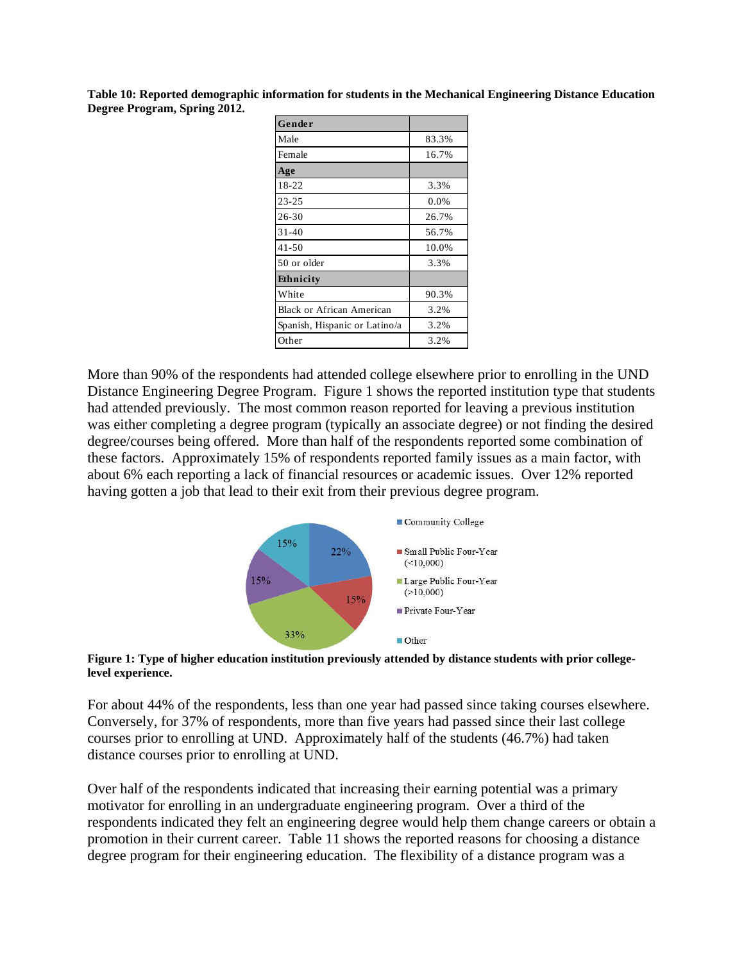**Table 10: Reported demographic information for students in the Mechanical Engineering Distance Education Degree Program, Spring 2012.** 

| Gender                           |       |
|----------------------------------|-------|
| Male                             | 83.3% |
| Female                           | 16.7% |
| Age                              |       |
| 18-22                            | 3.3%  |
| $23 - 25$                        | 0.0%  |
| 26-30                            | 26.7% |
| $31 - 40$                        | 56.7% |
| $41 - 50$                        | 10.0% |
| 50 or older                      | 3.3%  |
| Ethnicity                        |       |
| White                            | 90.3% |
| <b>Black or African American</b> | 3.2%  |
| Spanish, Hispanic or Latino/a    | 3.2%  |
| Other                            | 3.2%  |

More than 90% of the respondents had attended college elsewhere prior to enrolling in the UND Distance Engineering Degree Program. Figure 1 shows the reported institution type that students had attended previously. The most common reason reported for leaving a previous institution was either completing a degree program (typically an associate degree) or not finding the desired degree/courses being offered. More than half of the respondents reported some combination of these factors. Approximately 15% of respondents reported family issues as a main factor, with about 6% each reporting a lack of financial resources or academic issues. Over 12% reported having gotten a job that lead to their exit from their previous degree program.



#### **Figure 1: Type of higher education institution previously attended by distance students with prior collegelevel experience.**

For about 44% of the respondents, less than one year had passed since taking courses elsewhere. Conversely, for 37% of respondents, more than five years had passed since their last college courses prior to enrolling at UND. Approximately half of the students (46.7%) had taken distance courses prior to enrolling at UND.

Over half of the respondents indicated that increasing their earning potential was a primary motivator for enrolling in an undergraduate engineering program. Over a third of the respondents indicated they felt an engineering degree would help them change careers or obtain a promotion in their current career. Table 11 shows the reported reasons for choosing a distance degree program for their engineering education. The flexibility of a distance program was a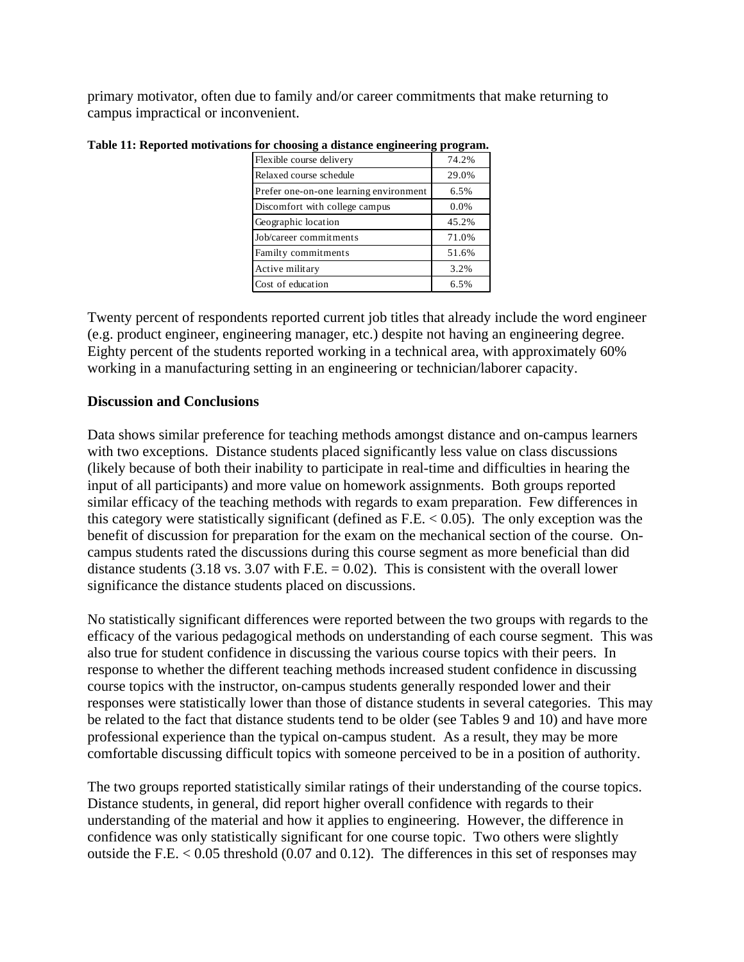primary motivator, often due to family and/or career commitments that make returning to campus impractical or inconvenient.

| -                                      | -     |
|----------------------------------------|-------|
| Flexible course delivery               | 74.2% |
| Relaxed course schedule                | 29.0% |
| Prefer one-on-one learning environment | 6.5%  |
| Discomfort with college campus         | 0.0%  |
| Geographic location                    | 45.2% |
| Job/career commitments                 | 71.0% |
| Familty commitments                    | 51.6% |
| Active military                        | 3.2%  |
| Cost of education                      | 6.5%  |

**Table 11: Reported motivations for choosing a distance engineering program.** 

Twenty percent of respondents reported current job titles that already include the word engineer (e.g. product engineer, engineering manager, etc.) despite not having an engineering degree. Eighty percent of the students reported working in a technical area, with approximately 60% working in a manufacturing setting in an engineering or technician/laborer capacity.

#### **Discussion and Conclusions**

Data shows similar preference for teaching methods amongst distance and on-campus learners with two exceptions. Distance students placed significantly less value on class discussions (likely because of both their inability to participate in real-time and difficulties in hearing the input of all participants) and more value on homework assignments. Both groups reported similar efficacy of the teaching methods with regards to exam preparation. Few differences in this category were statistically significant (defined as  $F.E. < 0.05$ ). The only exception was the benefit of discussion for preparation for the exam on the mechanical section of the course. Oncampus students rated the discussions during this course segment as more beneficial than did distance students  $(3.18 \text{ vs. } 3.07 \text{ with F.E.} = 0.02)$ . This is consistent with the overall lower significance the distance students placed on discussions.

No statistically significant differences were reported between the two groups with regards to the efficacy of the various pedagogical methods on understanding of each course segment. This was also true for student confidence in discussing the various course topics with their peers. In response to whether the different teaching methods increased student confidence in discussing course topics with the instructor, on-campus students generally responded lower and their responses were statistically lower than those of distance students in several categories. This may be related to the fact that distance students tend to be older (see Tables 9 and 10) and have more professional experience than the typical on-campus student. As a result, they may be more comfortable discussing difficult topics with someone perceived to be in a position of authority.

The two groups reported statistically similar ratings of their understanding of the course topics. Distance students, in general, did report higher overall confidence with regards to their understanding of the material and how it applies to engineering. However, the difference in confidence was only statistically significant for one course topic. Two others were slightly outside the F.E. < 0.05 threshold (0.07 and 0.12). The differences in this set of responses may